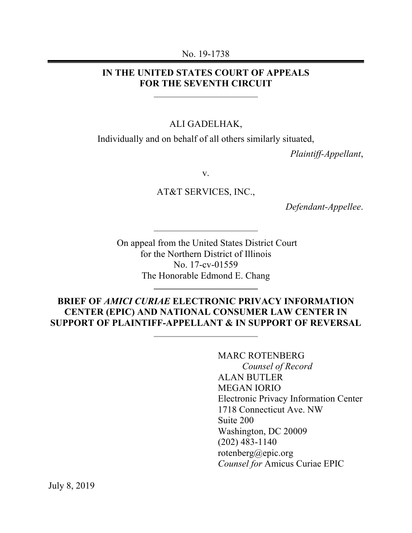#### No. 19-1738

# **IN THE UNITED STATES COURT OF APPEALS FOR THE SEVENTH CIRCUIT**

### ALI GADELHAK,

Individually and on behalf of all others similarly situated,

*Plaintiff-Appellant*,

v.

AT&T SERVICES, INC.,

*Defendant-Appellee*.

On appeal from the United States District Court for the Northern District of Illinois No. 17-cv-01559 The Honorable Edmond E. Chang

# **BRIEF OF** *AMICI CURIAE* **ELECTRONIC PRIVACY INFORMATION CENTER (EPIC) AND NATIONAL CONSUMER LAW CENTER IN SUPPORT OF PLAINTIFF-APPELLANT & IN SUPPORT OF REVERSAL**

MARC ROTENBERG *Counsel of Record* ALAN BUTLER MEGAN IORIO Electronic Privacy Information Center 1718 Connecticut Ave. NW Suite 200 Washington, DC 20009 (202) 483-1140 rotenberg@epic.org *Counsel for* Amicus Curiae EPIC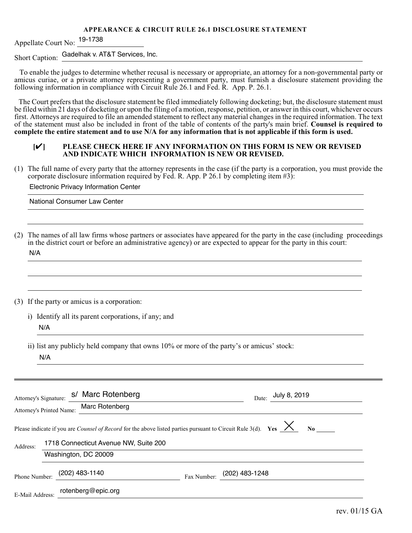#### **APPEARANCE & CIRCUIT RULE 26.1 DISCLOSURE STATEMENT**

Appellate Court No: <sup>19-1738</sup>

Short Caption: Gadelhak v. AT&T Services, Inc.

 To enable the judges to determine whether recusal is necessary or appropriate, an attorney for a non-governmental party or amicus curiae, or a private attorney representing a government party, must furnish a disclosure statement providing the following information in compliance with Circuit Rule 26.1 and Fed. R. App. P. 26.1.

The Court prefers that the disclosure statement be filed immediately following docketing; but, the disclosure statement must be filed within 21 days of docketing or upon the filing of a motion, response, petition, or answer in this court, whichever occurs first. Attorneys are required to file an amended statement to reflect any material changes in the required information. The text of the statement must also be included in front of the table of contents of the party's main brief. **Counsel is required to complete the entire statement and to use N/A for any information that is not applicable if this form is used.**

#### **EXECUTE AND INDICATE WHICH INFORMATION IS NEW OR REVISED**<br>AND INDICATE WHICH INFORMATION IS NEW OR REVISED **AND INDICATE WHICH INFORMATION IS NEW OR REVISED.**   $\mathcal{V}$

(1) The full name of every party that the attorney represents in the case (if the party is a corporation, you must provide the corporate disclosure information required by Fed. R. App. P 26.1 by completing item #3):

#### Electronic Privacy Information Center

National Consumer Law Center

E-Mail Address: rotenberg@epic.org

| (2)      | The names of all law firms whose partners or associates have appeared for the party in the case (including proceedings<br>in the district court or before an administrative agency) or are expected to appear for the party in this court:<br>N/A |  |  |  |
|----------|---------------------------------------------------------------------------------------------------------------------------------------------------------------------------------------------------------------------------------------------------|--|--|--|
| (3)      | If the party or amicus is a corporation:                                                                                                                                                                                                          |  |  |  |
|          | Identify all its parent corporations, if any; and<br>1)<br>N/A<br>ii) list any publicly held company that owns 10% or more of the party's or amicus' stock:<br>N/A                                                                                |  |  |  |
|          |                                                                                                                                                                                                                                                   |  |  |  |
|          | s/ Marc Rotenberg<br>July 8, 2019<br>Attorney's Signature:<br>Date:<br>Marc Rotenberg<br>Attorney's Printed Name:                                                                                                                                 |  |  |  |
|          | Please indicate if you are <i>Counsel of Record</i> for the above listed parties pursuant to Circuit Rule 3(d). Yes $\frac{\times}{\times}$ No _____                                                                                              |  |  |  |
| Address: | 1718 Connecticut Avenue NW, Suite 200                                                                                                                                                                                                             |  |  |  |
|          | Washington, DC 20009                                                                                                                                                                                                                              |  |  |  |
|          | (202) 483-1140<br>Fax Number: (202) 483-1248<br>Phone Number:                                                                                                                                                                                     |  |  |  |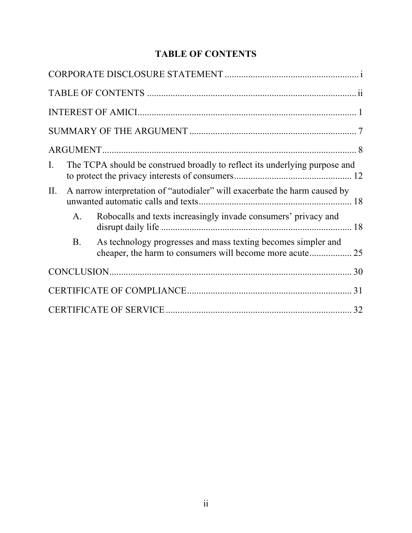| $\mathbf{I}$ . |                | The TCPA should be construed broadly to reflect its underlying purpose and |  |  |
|----------------|----------------|----------------------------------------------------------------------------|--|--|
| II.            |                | A narrow interpretation of "autodialer" will exacerbate the harm caused by |  |  |
|                | A <sub>1</sub> | Robocalls and texts increasingly invade consumers' privacy and             |  |  |
|                | <b>B.</b>      | As technology progresses and mass texting becomes simpler and              |  |  |
|                |                |                                                                            |  |  |
|                |                |                                                                            |  |  |
|                |                |                                                                            |  |  |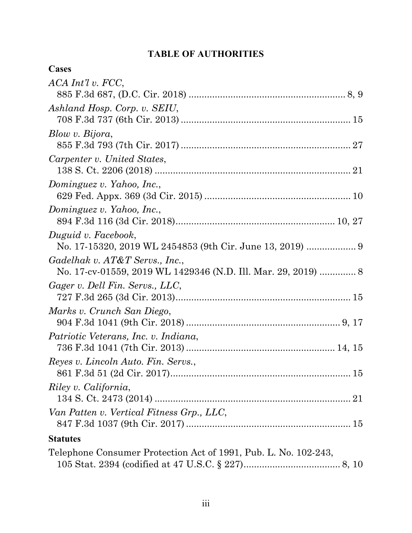# **TABLE OF AUTHORITIES**

# **Cases**

| ACA Int'l v. FCC,                                               |
|-----------------------------------------------------------------|
|                                                                 |
| Ashland Hosp. Corp. v. SEIU,                                    |
|                                                                 |
| Blow v. Bijora,                                                 |
|                                                                 |
| Carpenter v. United States,                                     |
|                                                                 |
| Dominguez v. Yahoo, Inc.,                                       |
|                                                                 |
| Dominguez v. Yahoo, Inc.,                                       |
|                                                                 |
| Duguid v. Facebook,                                             |
|                                                                 |
| Gadelhak v. AT&T Servs., Inc.,                                  |
| No. 17-cv-01559, 2019 WL 1429346 (N.D. Ill. Mar. 29, 2019)  8   |
| Gager v. Dell Fin. Servs., LLC,                                 |
|                                                                 |
| Marks v. Crunch San Diego,                                      |
|                                                                 |
| Patriotic Veterans, Inc. v. Indiana,                            |
|                                                                 |
| Reyes v. Lincoln Auto. Fin. Servs.,                             |
|                                                                 |
| Riley v. California,                                            |
|                                                                 |
| Van Patten v. Vertical Fitness Grp., LLC,                       |
|                                                                 |
| <b>Statutes</b>                                                 |
| Telephone Consumer Protection Act of 1991, Pub. L. No. 102-243, |
|                                                                 |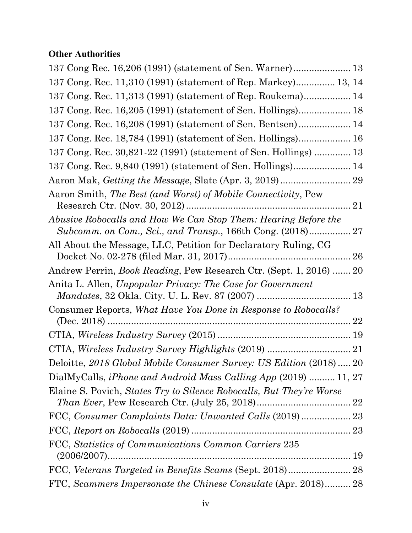# **Other Authorities**

| 137 Cong Rec. 16,206 (1991) (statement of Sen. Warner) 13                                                                                   |    |
|---------------------------------------------------------------------------------------------------------------------------------------------|----|
| 137 Cong. Rec. 11,310 (1991) (statement of Rep. Markey) 13, 14                                                                              |    |
| 137 Cong. Rec. 11,313 (1991) (statement of Rep. Roukema) 14                                                                                 |    |
| 137 Cong. Rec. 16,205 (1991) (statement of Sen. Hollings) 18                                                                                |    |
| 137 Cong. Rec. 16,208 (1991) (statement of Sen. Bentsen) 14                                                                                 |    |
| 137 Cong. Rec. 18,784 (1991) (statement of Sen. Hollings) 16                                                                                |    |
| 137 Cong. Rec. 30,821-22 (1991) (statement of Sen. Hollings)  13                                                                            |    |
| 137 Cong. Rec. 9,840 (1991) (statement of Sen. Hollings) 14                                                                                 |    |
|                                                                                                                                             |    |
| Aaron Smith, The Best (and Worst) of Mobile Connectivity, Pew                                                                               |    |
|                                                                                                                                             |    |
| Abusive Robocalls and How We Can Stop Them: Hearing Before the                                                                              |    |
| All About the Message, LLC, Petition for Declaratory Ruling, CG                                                                             |    |
|                                                                                                                                             |    |
| Andrew Perrin, <i>Book Reading</i> , Pew Research Ctr. (Sept. 1, 2016)  20                                                                  |    |
| Anita L. Allen, Unpopular Privacy: The Case for Government                                                                                  |    |
| Consumer Reports, What Have You Done in Response to Robocalls?                                                                              | 22 |
|                                                                                                                                             |    |
|                                                                                                                                             |    |
|                                                                                                                                             |    |
| Deloitte, 2018 Global Mobile Consumer Survey: US Edition (2018)20<br>DialMyCalls, <i>iPhone and Android Mass Calling App</i> (2019)  11, 27 |    |
| Elaine S. Povich, States Try to Silence Robocalls, But They're Worse                                                                        |    |
| FCC, Consumer Complaints Data: Unwanted Calls (2019) 23                                                                                     |    |
|                                                                                                                                             |    |
| FCC, Statistics of Communications Common Carriers 235                                                                                       |    |
| FCC, Veterans Targeted in Benefits Scams (Sept. 2018) 28                                                                                    |    |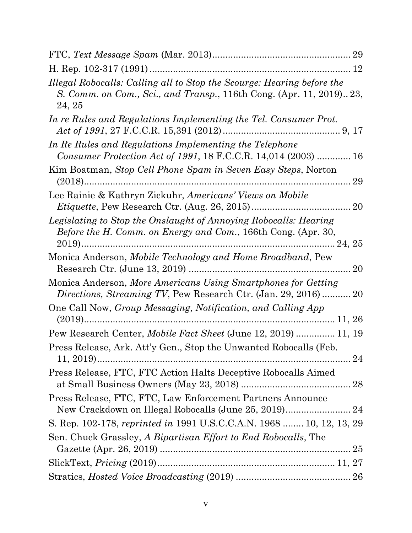| Illegal Robocalls: Calling all to Stop the Scourge: Hearing before the<br>S. Comm. on Com., Sci., and Transp., 116th Cong. (Apr. 11, 2019) 23,<br>24, 25 |
|----------------------------------------------------------------------------------------------------------------------------------------------------------|
| In re Rules and Regulations Implementing the Tel. Consumer Prot.                                                                                         |
| In Re Rules and Regulations Implementing the Telephone<br>Consumer Protection Act of 1991, 18 F.C.C.R. 14,014 (2003)  16                                 |
| Kim Boatman, Stop Cell Phone Spam in Seven Easy Steps, Norton<br>29                                                                                      |
| Lee Rainie & Kathryn Zickuhr, Americans' Views on Mobile                                                                                                 |
| Legislating to Stop the Onslaught of Annoying Robocalls: Hearing<br><i>Before the H. Comm. on Energy and Com., 166th Cong. (Apr. 30,</i>                 |
| Monica Anderson, Mobile Technology and Home Broadband, Pew<br>20                                                                                         |
| Monica Anderson, More Americans Using Smartphones for Getting<br><i>Directions, Streaming TV, Pew Research Ctr. (Jan. 29, 2016)  20</i>                  |
| One Call Now, Group Messaging, Notification, and Calling App                                                                                             |
| Pew Research Center, <i>Mobile Fact Sheet</i> (June 12, 2019)  11, 19                                                                                    |
| Press Release, Ark. Att'y Gen., Stop the Unwanted Robocalls (Feb.                                                                                        |
| Press Release, FTC, FTC Action Halts Deceptive Robocalls Aimed                                                                                           |
| Press Release, FTC, FTC, Law Enforcement Partners Announce                                                                                               |
| S. Rep. 102-178, reprinted in 1991 U.S.C.C.A.N. 1968  10, 12, 13, 29                                                                                     |
| Sen. Chuck Grassley, A Bipartisan Effort to End Robocalls, The                                                                                           |
|                                                                                                                                                          |
|                                                                                                                                                          |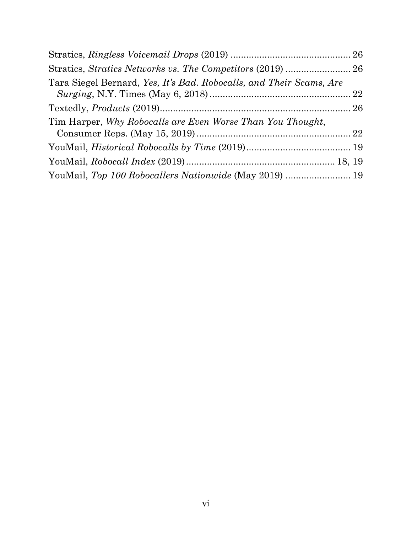| Tara Siegel Bernard, Yes, It's Bad. Robocalls, and Their Scams, Are |  |
|---------------------------------------------------------------------|--|
|                                                                     |  |
| Tim Harper, Why Robocalls are Even Worse Than You Thought,          |  |
|                                                                     |  |
|                                                                     |  |
|                                                                     |  |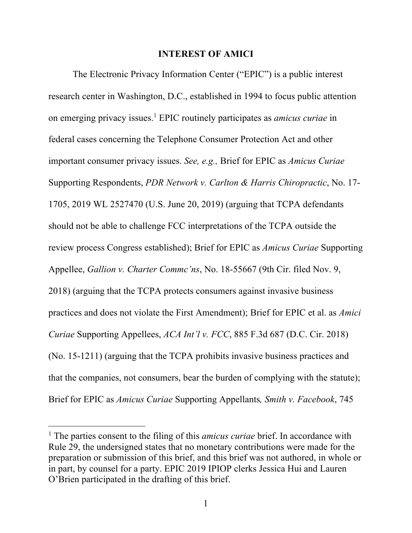### **INTEREST OF AMICI**

The Electronic Privacy Information Center ("EPIC") is a public interest research center in Washington, D.C., established in 1994 to focus public attention on emerging privacy issues.1 EPIC routinely participates as *amicus curiae* in federal cases concerning the Telephone Consumer Protection Act and other important consumer privacy issues. *See, e.g.,* Brief for EPIC as *Amicus Curiae* Supporting Respondents, *PDR Network v. Carlton & Harris Chiropractic*, No. 17- 1705, 2019 WL 2527470 (U.S. June 20, 2019) (arguing that TCPA defendants should not be able to challenge FCC interpretations of the TCPA outside the review process Congress established); Brief for EPIC as *Amicus Curiae* Supporting Appellee, *Gallion v. Charter Commc'ns*, No. 18-55667 (9th Cir. filed Nov. 9, 2018) (arguing that the TCPA protects consumers against invasive business practices and does not violate the First Amendment); Brief for EPIC et al. as *Amici Curiae* Supporting Appellees, *ACA Int'l v. FCC*, 885 F.3d 687 (D.C. Cir. 2018) (No. 15-1211) (arguing that the TCPA prohibits invasive business practices and that the companies, not consumers, bear the burden of complying with the statute); Brief for EPIC as *Amicus Curiae* Supporting Appellants*, Smith v. Facebook*, 745

<sup>&</sup>lt;sup>1</sup> The parties consent to the filing of this *amicus curiae* brief. In accordance with Rule 29, the undersigned states that no monetary contributions were made for the preparation or submission of this brief, and this brief was not authored, in whole or in part, by counsel for a party. EPIC 2019 IPIOP clerks Jessica Hui and Lauren O'Brien participated in the drafting of this brief.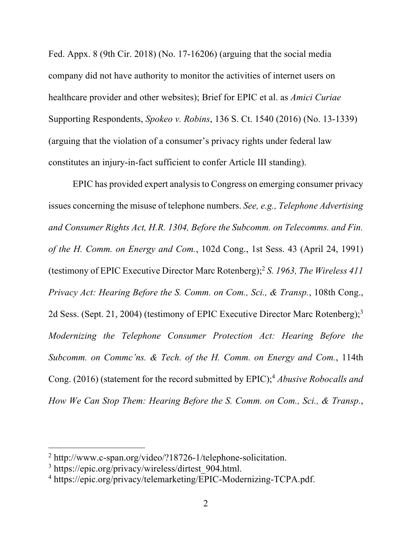Fed. Appx. 8 (9th Cir. 2018) (No. 17-16206) (arguing that the social media company did not have authority to monitor the activities of internet users on healthcare provider and other websites); Brief for EPIC et al. as *Amici Curiae* Supporting Respondents, *Spokeo v. Robins*, 136 S. Ct. 1540 (2016) (No. 13-1339) (arguing that the violation of a consumer's privacy rights under federal law constitutes an injury-in-fact sufficient to confer Article III standing).

EPIC has provided expert analysis to Congress on emerging consumer privacy issues concerning the misuse of telephone numbers. *See, e.g., Telephone Advertising and Consumer Rights Act, H.R. 1304, Before the Subcomm. on Telecomms. and Fin. of the H. Comm. on Energy and Com.*, 102d Cong., 1st Sess. 43 (April 24, 1991) (testimony of EPIC Executive Director Marc Rotenberg);2 *S. 1963, The Wireless 411 Privacy Act: Hearing Before the S. Comm. on Com., Sci., & Transp.*, 108th Cong., 2d Sess. (Sept. 21, 2004) (testimony of EPIC Executive Director Marc Rotenberg);<sup>3</sup> *Modernizing the Telephone Consumer Protection Act: Hearing Before the Subcomm. on Commc'ns. & Tech. of the H. Comm. on Energy and Com.*, 114th Cong. (2016) (statement for the record submitted by EPIC);<sup>4</sup> *Abusive Robocalls and How We Can Stop Them: Hearing Before the S. Comm. on Com., Sci., & Transp.*,

<sup>&</sup>lt;sup>2</sup> http://www.c-span.org/video/?18726-1/telephone-solicitation.

<sup>&</sup>lt;sup>3</sup> https://epic.org/privacy/wireless/dirtest 904.html.

<sup>4</sup> https://epic.org/privacy/telemarketing/EPIC-Modernizing-TCPA.pdf.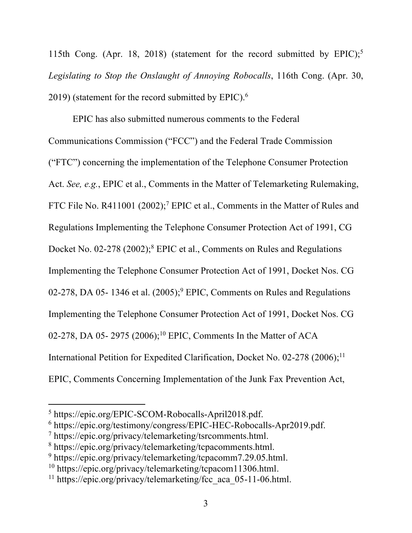115th Cong. (Apr. 18, 2018) (statement for the record submitted by EPIC);<sup>5</sup> *Legislating to Stop the Onslaught of Annoying Robocalls*, 116th Cong. (Apr. 30, 2019) (statement for the record submitted by EPIC).6

EPIC has also submitted numerous comments to the Federal Communications Commission ("FCC") and the Federal Trade Commission ("FTC") concerning the implementation of the Telephone Consumer Protection Act. *See, e.g.*, EPIC et al., Comments in the Matter of Telemarketing Rulemaking, FTC File No. R411001 (2002);<sup>7</sup> EPIC et al., Comments in the Matter of Rules and Regulations Implementing the Telephone Consumer Protection Act of 1991, CG Docket No. 02-278 (2002);<sup>8</sup> EPIC et al., Comments on Rules and Regulations Implementing the Telephone Consumer Protection Act of 1991, Docket Nos. CG 02-278, DA 05-1346 et al.  $(2005)$ ;  $\frac{9}{2}$  EPIC, Comments on Rules and Regulations Implementing the Telephone Consumer Protection Act of 1991, Docket Nos. CG 02-278, DA 05-2975 (2006);<sup>10</sup> EPIC, Comments In the Matter of ACA International Petition for Expedited Clarification, Docket No.  $02-278$  (2006);<sup>11</sup> EPIC, Comments Concerning Implementation of the Junk Fax Prevention Act,

<sup>5</sup> https://epic.org/EPIC-SCOM-Robocalls-April2018.pdf.

<sup>6</sup> https://epic.org/testimony/congress/EPIC-HEC-Robocalls-Apr2019.pdf.

<sup>7</sup> https://epic.org/privacy/telemarketing/tsrcomments.html.

<sup>8</sup> https://epic.org/privacy/telemarketing/tcpacomments.html.

 $9$  https://epic.org/privacy/telemarketing/tcpacomm7.29.05.html.

<sup>&</sup>lt;sup>10</sup> https://epic.org/privacy/telemarketing/tcpacom11306.html.

<sup>&</sup>lt;sup>11</sup> https://epic.org/privacy/telemarketing/fcc\_aca\_05-11-06.html.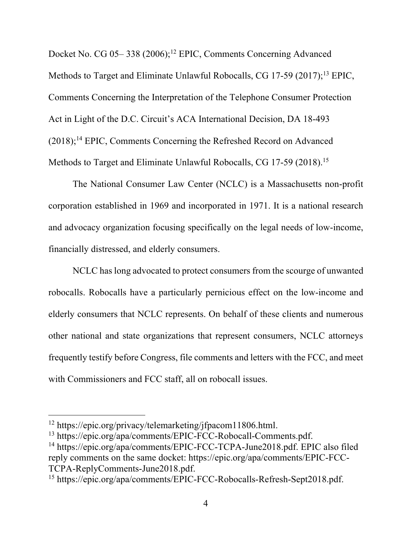Docket No. CG 05–338 (2006);<sup>12</sup> EPIC, Comments Concerning Advanced Methods to Target and Eliminate Unlawful Robocalls, CG 17-59 (2017);<sup>13</sup> EPIC, Comments Concerning the Interpretation of the Telephone Consumer Protection Act in Light of the D.C. Circuit's ACA International Decision, DA 18-493 (2018);14 EPIC, Comments Concerning the Refreshed Record on Advanced Methods to Target and Eliminate Unlawful Robocalls, CG 17-59 (2018).<sup>15</sup>

The National Consumer Law Center (NCLC) is a Massachusetts non-profit corporation established in 1969 and incorporated in 1971. It is a national research and advocacy organization focusing specifically on the legal needs of low-income, financially distressed, and elderly consumers.

NCLC has long advocated to protect consumers from the scourge of unwanted robocalls. Robocalls have a particularly pernicious effect on the low-income and elderly consumers that NCLC represents. On behalf of these clients and numerous other national and state organizations that represent consumers, NCLC attorneys frequently testify before Congress, file comments and letters with the FCC, and meet with Commissioners and FCC staff, all on robocall issues.

l

<sup>12</sup> https://epic.org/privacy/telemarketing/jfpacom11806.html.

<sup>13</sup> https://epic.org/apa/comments/EPIC-FCC-Robocall-Comments.pdf.

<sup>14</sup> https://epic.org/apa/comments/EPIC-FCC-TCPA-June2018.pdf. EPIC also filed reply comments on the same docket: https://epic.org/apa/comments/EPIC-FCC-TCPA-ReplyComments-June2018.pdf.

<sup>15</sup> https://epic.org/apa/comments/EPIC-FCC-Robocalls-Refresh-Sept2018.pdf.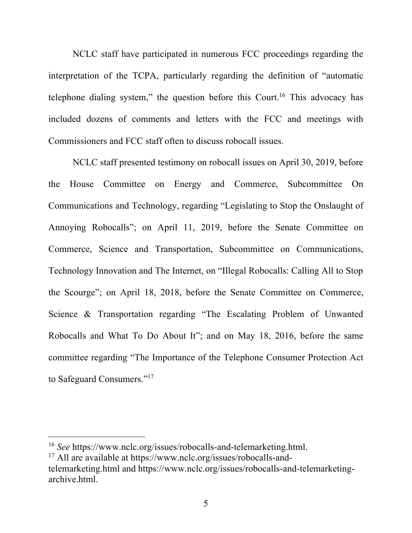NCLC staff have participated in numerous FCC proceedings regarding the interpretation of the TCPA, particularly regarding the definition of "automatic telephone dialing system," the question before this Court.<sup>16</sup> This advocacy has included dozens of comments and letters with the FCC and meetings with Commissioners and FCC staff often to discuss robocall issues.

NCLC staff presented testimony on robocall issues on April 30, 2019, before the House Committee on Energy and Commerce, Subcommittee On Communications and Technology, regarding "Legislating to Stop the Onslaught of Annoying Robocalls"; on April 11, 2019, before the Senate Committee on Commerce, Science and Transportation, Subcommittee on Communications, Technology Innovation and The Internet, on "Illegal Robocalls: Calling All to Stop the Scourge"; on April 18, 2018, before the Senate Committee on Commerce, Science & Transportation regarding "The Escalating Problem of Unwanted Robocalls and What To Do About It"; and on May 18, 2016, before the same committee regarding "The Importance of the Telephone Consumer Protection Act to Safeguard Consumers."17

<sup>16</sup> *See* https://www.nclc.org/issues/robocalls-and-telemarketing.html.

<sup>&</sup>lt;sup>17</sup> All are available at https://www.nclc.org/issues/robocalls-andtelemarketing.html and https://www.nclc.org/issues/robocalls-and-telemarketingarchive.html.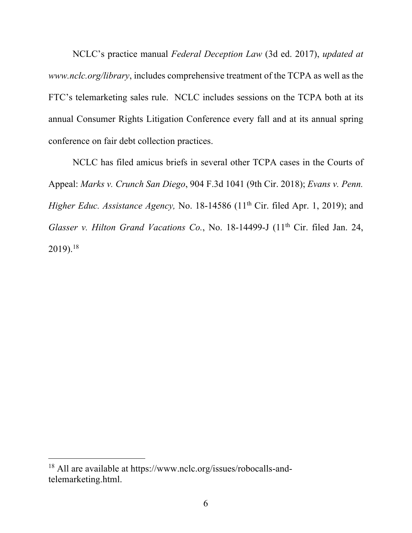NCLC's practice manual *Federal Deception Law* (3d ed. 2017), *updated at www.nclc.org/library*, includes comprehensive treatment of the TCPA as well as the FTC's telemarketing sales rule. NCLC includes sessions on the TCPA both at its annual Consumer Rights Litigation Conference every fall and at its annual spring conference on fair debt collection practices.

NCLC has filed amicus briefs in several other TCPA cases in the Courts of Appeal: *Marks v. Crunch San Diego*, 904 F.3d 1041 (9th Cir. 2018); *Evans v. Penn. Higher Educ. Assistance Agency*, No. 18-14586 (11<sup>th</sup> Cir. filed Apr. 1, 2019); and *Glasser v. Hilton Grand Vacations Co.*, No. 18-14499-J (11<sup>th</sup> Cir. filed Jan. 24,  $2019$ .<sup>18</sup>

<sup>18</sup> All are available at https://www.nclc.org/issues/robocalls-andtelemarketing.html.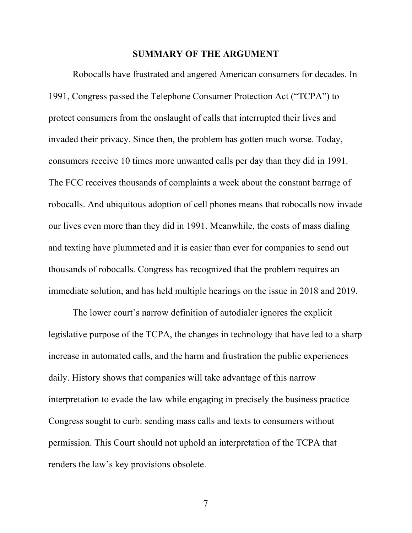### **SUMMARY OF THE ARGUMENT**

Robocalls have frustrated and angered American consumers for decades. In 1991, Congress passed the Telephone Consumer Protection Act ("TCPA") to protect consumers from the onslaught of calls that interrupted their lives and invaded their privacy. Since then, the problem has gotten much worse. Today, consumers receive 10 times more unwanted calls per day than they did in 1991. The FCC receives thousands of complaints a week about the constant barrage of robocalls. And ubiquitous adoption of cell phones means that robocalls now invade our lives even more than they did in 1991. Meanwhile, the costs of mass dialing and texting have plummeted and it is easier than ever for companies to send out thousands of robocalls. Congress has recognized that the problem requires an immediate solution, and has held multiple hearings on the issue in 2018 and 2019.

The lower court's narrow definition of autodialer ignores the explicit legislative purpose of the TCPA, the changes in technology that have led to a sharp increase in automated calls, and the harm and frustration the public experiences daily. History shows that companies will take advantage of this narrow interpretation to evade the law while engaging in precisely the business practice Congress sought to curb: sending mass calls and texts to consumers without permission. This Court should not uphold an interpretation of the TCPA that renders the law's key provisions obsolete.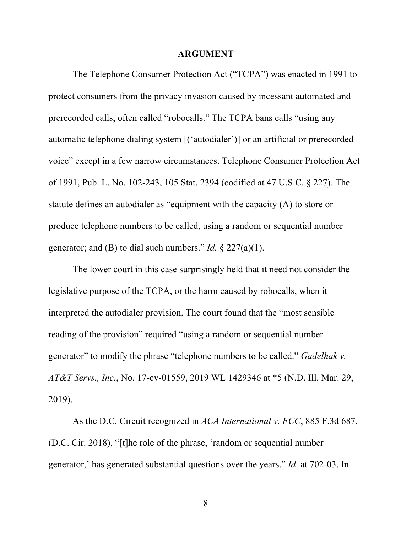#### **ARGUMENT**

The Telephone Consumer Protection Act ("TCPA") was enacted in 1991 to protect consumers from the privacy invasion caused by incessant automated and prerecorded calls, often called "robocalls." The TCPA bans calls "using any automatic telephone dialing system [('autodialer')] or an artificial or prerecorded voice" except in a few narrow circumstances. Telephone Consumer Protection Act of 1991, Pub. L. No. 102-243, 105 Stat. 2394 (codified at 47 U.S.C. § 227). The statute defines an autodialer as "equipment with the capacity (A) to store or produce telephone numbers to be called, using a random or sequential number generator; and (B) to dial such numbers." *Id.*  $\frac{227(a)(1)}{2}$ .

The lower court in this case surprisingly held that it need not consider the legislative purpose of the TCPA, or the harm caused by robocalls, when it interpreted the autodialer provision. The court found that the "most sensible reading of the provision" required "using a random or sequential number generator" to modify the phrase "telephone numbers to be called." *Gadelhak v. AT&T Servs., Inc.*, No. 17-cv-01559, 2019 WL 1429346 at \*5 (N.D. Ill. Mar. 29, 2019).

As the D.C. Circuit recognized in *ACA International v. FCC*, 885 F.3d 687, (D.C. Cir. 2018), "[t]he role of the phrase, 'random or sequential number generator,' has generated substantial questions over the years." *Id*. at 702-03. In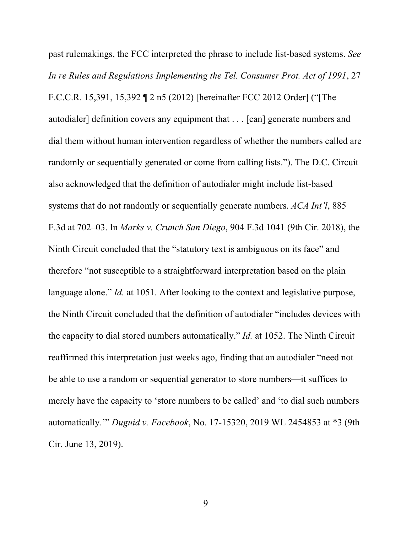past rulemakings, the FCC interpreted the phrase to include list-based systems. *See In re Rules and Regulations Implementing the Tel. Consumer Prot. Act of 1991*, 27 F.C.C.R. 15,391, 15,392 ¶ 2 n5 (2012) [hereinafter FCC 2012 Order] ("[The autodialer] definition covers any equipment that . . . [can] generate numbers and dial them without human intervention regardless of whether the numbers called are randomly or sequentially generated or come from calling lists."). The D.C. Circuit also acknowledged that the definition of autodialer might include list-based systems that do not randomly or sequentially generate numbers. *ACA Int'l*, 885 F.3d at 702–03. In *Marks v. Crunch San Diego*, 904 F.3d 1041 (9th Cir. 2018), the Ninth Circuit concluded that the "statutory text is ambiguous on its face" and therefore "not susceptible to a straightforward interpretation based on the plain language alone." *Id.* at 1051. After looking to the context and legislative purpose, the Ninth Circuit concluded that the definition of autodialer "includes devices with the capacity to dial stored numbers automatically." *Id.* at 1052. The Ninth Circuit reaffirmed this interpretation just weeks ago, finding that an autodialer "need not be able to use a random or sequential generator to store numbers—it suffices to merely have the capacity to 'store numbers to be called' and 'to dial such numbers automatically.'" *Duguid v. Facebook*, No. 17-15320, 2019 WL 2454853 at \*3 (9th Cir. June 13, 2019).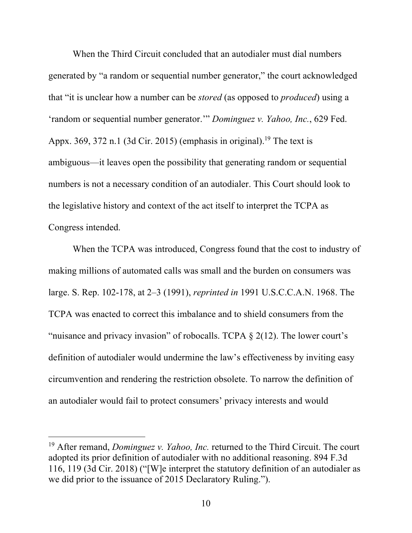When the Third Circuit concluded that an autodialer must dial numbers generated by "a random or sequential number generator," the court acknowledged that "it is unclear how a number can be *stored* (as opposed to *produced*) using a 'random or sequential number generator.'" *Dominguez v. Yahoo, Inc.*, 629 Fed. Appx. 369, 372 n.1 (3d Cir. 2015) (emphasis in original).<sup>19</sup> The text is ambiguous—it leaves open the possibility that generating random or sequential numbers is not a necessary condition of an autodialer. This Court should look to the legislative history and context of the act itself to interpret the TCPA as Congress intended.

When the TCPA was introduced, Congress found that the cost to industry of making millions of automated calls was small and the burden on consumers was large. S. Rep. 102-178, at 2–3 (1991), *reprinted in* 1991 U.S.C.C.A.N. 1968. The TCPA was enacted to correct this imbalance and to shield consumers from the "nuisance and privacy invasion" of robocalls. TCPA  $\S$  2(12). The lower court's definition of autodialer would undermine the law's effectiveness by inviting easy circumvention and rendering the restriction obsolete. To narrow the definition of an autodialer would fail to protect consumers' privacy interests and would

<sup>19</sup> After remand, *Dominguez v. Yahoo, Inc.* returned to the Third Circuit. The court adopted its prior definition of autodialer with no additional reasoning. 894 F.3d 116, 119 (3d Cir. 2018) ("[W]e interpret the statutory definition of an autodialer as we did prior to the issuance of 2015 Declaratory Ruling.").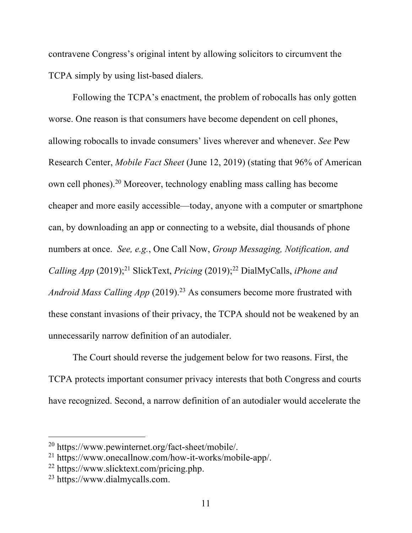contravene Congress's original intent by allowing solicitors to circumvent the TCPA simply by using list-based dialers.

Following the TCPA's enactment, the problem of robocalls has only gotten worse. One reason is that consumers have become dependent on cell phones, allowing robocalls to invade consumers' lives wherever and whenever. *See* Pew Research Center, *Mobile Fact Sheet* (June 12, 2019) (stating that 96% of American own cell phones).20 Moreover, technology enabling mass calling has become cheaper and more easily accessible—today, anyone with a computer or smartphone can, by downloading an app or connecting to a website, dial thousands of phone numbers at once. *See, e.g.*, One Call Now, *Group Messaging, Notification, and Calling App* (2019); <sup>21</sup> SlickText, *Pricing* (2019); <sup>22</sup> DialMyCalls, *iPhone and Android Mass Calling App* (2019). <sup>23</sup> As consumers become more frustrated with these constant invasions of their privacy, the TCPA should not be weakened by an unnecessarily narrow definition of an autodialer.

The Court should reverse the judgement below for two reasons. First, the TCPA protects important consumer privacy interests that both Congress and courts have recognized. Second, a narrow definition of an autodialer would accelerate the

<sup>20</sup> https://www.pewinternet.org/fact-sheet/mobile/.

<sup>21</sup> https://www.onecallnow.com/how-it-works/mobile-app/.

<sup>22</sup> https://www.slicktext.com/pricing.php.

<sup>23</sup> https://www.dialmycalls.com.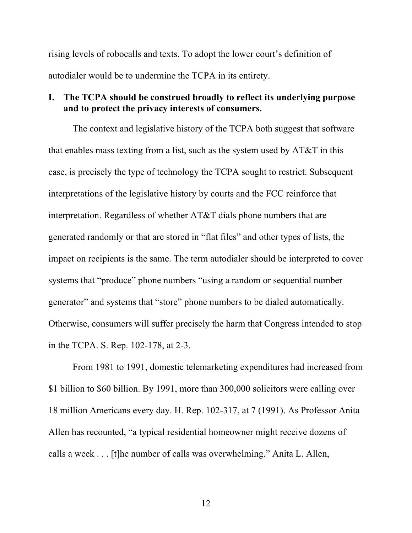rising levels of robocalls and texts. To adopt the lower court's definition of autodialer would be to undermine the TCPA in its entirety.

## **I. The TCPA should be construed broadly to reflect its underlying purpose and to protect the privacy interests of consumers.**

The context and legislative history of the TCPA both suggest that software that enables mass texting from a list, such as the system used by AT&T in this case, is precisely the type of technology the TCPA sought to restrict. Subsequent interpretations of the legislative history by courts and the FCC reinforce that interpretation. Regardless of whether AT&T dials phone numbers that are generated randomly or that are stored in "flat files" and other types of lists, the impact on recipients is the same. The term autodialer should be interpreted to cover systems that "produce" phone numbers "using a random or sequential number generator" and systems that "store" phone numbers to be dialed automatically. Otherwise, consumers will suffer precisely the harm that Congress intended to stop in the TCPA. S. Rep. 102-178, at 2-3.

From 1981 to 1991, domestic telemarketing expenditures had increased from \$1 billion to \$60 billion. By 1991, more than 300,000 solicitors were calling over 18 million Americans every day. H. Rep. 102-317, at 7 (1991). As Professor Anita Allen has recounted, "a typical residential homeowner might receive dozens of calls a week . . . [t]he number of calls was overwhelming." Anita L. Allen,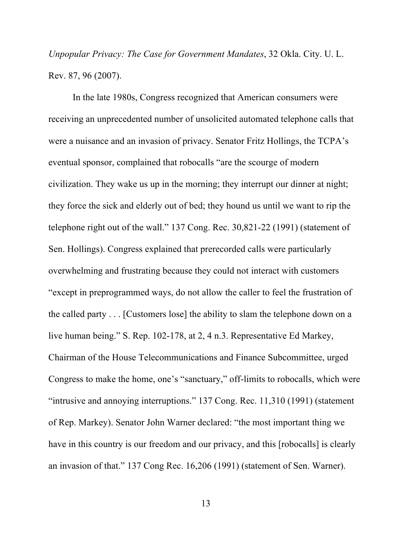*Unpopular Privacy: The Case for Government Mandates*, 32 Okla. City. U. L. Rev. 87, 96 (2007).

In the late 1980s, Congress recognized that American consumers were receiving an unprecedented number of unsolicited automated telephone calls that were a nuisance and an invasion of privacy. Senator Fritz Hollings, the TCPA's eventual sponsor, complained that robocalls "are the scourge of modern civilization. They wake us up in the morning; they interrupt our dinner at night; they force the sick and elderly out of bed; they hound us until we want to rip the telephone right out of the wall." 137 Cong. Rec. 30,821-22 (1991) (statement of Sen. Hollings). Congress explained that prerecorded calls were particularly overwhelming and frustrating because they could not interact with customers "except in preprogrammed ways, do not allow the caller to feel the frustration of the called party . . . [Customers lose] the ability to slam the telephone down on a live human being." S. Rep. 102-178, at 2, 4 n.3. Representative Ed Markey, Chairman of the House Telecommunications and Finance Subcommittee, urged Congress to make the home, one's "sanctuary," off-limits to robocalls, which were "intrusive and annoying interruptions." 137 Cong. Rec. 11,310 (1991) (statement of Rep. Markey). Senator John Warner declared: "the most important thing we have in this country is our freedom and our privacy, and this [robocalls] is clearly an invasion of that." 137 Cong Rec. 16,206 (1991) (statement of Sen. Warner).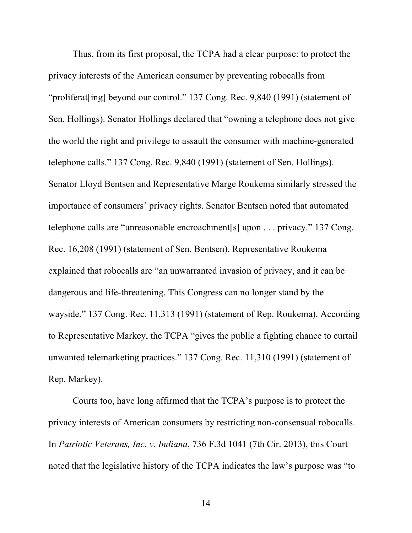Thus, from its first proposal, the TCPA had a clear purpose: to protect the privacy interests of the American consumer by preventing robocalls from "proliferat[ing] beyond our control." 137 Cong. Rec. 9,840 (1991) (statement of Sen. Hollings). Senator Hollings declared that "owning a telephone does not give the world the right and privilege to assault the consumer with machine-generated telephone calls." 137 Cong. Rec. 9,840 (1991) (statement of Sen. Hollings). Senator Lloyd Bentsen and Representative Marge Roukema similarly stressed the importance of consumers' privacy rights. Senator Bentsen noted that automated telephone calls are "unreasonable encroachment[s] upon . . . privacy." 137 Cong. Rec. 16,208 (1991) (statement of Sen. Bentsen). Representative Roukema explained that robocalls are "an unwarranted invasion of privacy, and it can be dangerous and life-threatening. This Congress can no longer stand by the wayside." 137 Cong. Rec. 11,313 (1991) (statement of Rep. Roukema). According to Representative Markey, the TCPA "gives the public a fighting chance to curtail unwanted telemarketing practices." 137 Cong. Rec. 11,310 (1991) (statement of Rep. Markey).

Courts too, have long affirmed that the TCPA's purpose is to protect the privacy interests of American consumers by restricting non-consensual robocalls. In *Patriotic Veterans, Inc. v. Indiana*, 736 F.3d 1041 (7th Cir. 2013), this Court noted that the legislative history of the TCPA indicates the law's purpose was "to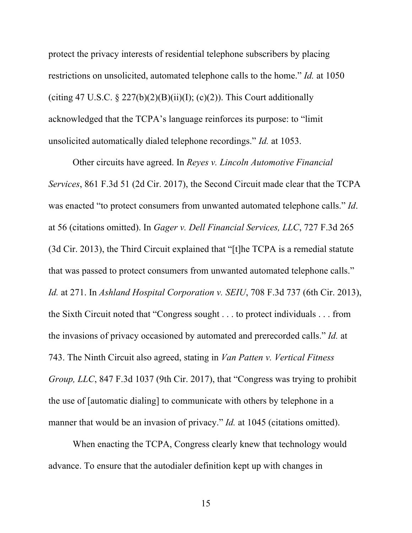protect the privacy interests of residential telephone subscribers by placing restrictions on unsolicited, automated telephone calls to the home." *Id.* at 1050 (citing 47 U.S.C. § 227(b)(2)(B)(ii)(I); (c)(2)). This Court additionally acknowledged that the TCPA's language reinforces its purpose: to "limit unsolicited automatically dialed telephone recordings." *Id.* at 1053.

Other circuits have agreed. In *Reyes v. Lincoln Automotive Financial Services*, 861 F.3d 51 (2d Cir. 2017), the Second Circuit made clear that the TCPA was enacted "to protect consumers from unwanted automated telephone calls." *Id*. at 56 (citations omitted). In *Gager v. Dell Financial Services, LLC*, 727 F.3d 265 (3d Cir. 2013), the Third Circuit explained that "[t]he TCPA is a remedial statute that was passed to protect consumers from unwanted automated telephone calls." *Id.* at 271. In *Ashland Hospital Corporation v. SEIU*, 708 F.3d 737 (6th Cir. 2013), the Sixth Circuit noted that "Congress sought . . . to protect individuals . . . from the invasions of privacy occasioned by automated and prerecorded calls." *Id.* at 743. The Ninth Circuit also agreed, stating in *Van Patten v. Vertical Fitness Group, LLC*, 847 F.3d 1037 (9th Cir. 2017), that "Congress was trying to prohibit the use of [automatic dialing] to communicate with others by telephone in a manner that would be an invasion of privacy." *Id.* at 1045 (citations omitted).

When enacting the TCPA, Congress clearly knew that technology would advance. To ensure that the autodialer definition kept up with changes in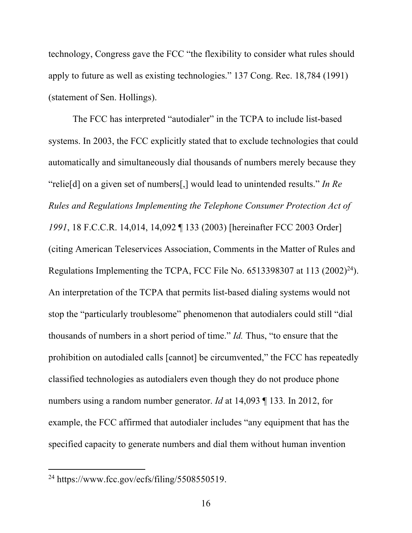technology, Congress gave the FCC "the flexibility to consider what rules should apply to future as well as existing technologies." 137 Cong. Rec. 18,784 (1991) (statement of Sen. Hollings).

The FCC has interpreted "autodialer" in the TCPA to include list-based systems. In 2003, the FCC explicitly stated that to exclude technologies that could automatically and simultaneously dial thousands of numbers merely because they "relie[d] on a given set of numbers[,] would lead to unintended results." *In Re Rules and Regulations Implementing the Telephone Consumer Protection Act of 1991*, 18 F.C.C.R. 14,014, 14,092 ¶ 133 (2003) [hereinafter FCC 2003 Order] (citing American Teleservices Association, Comments in the Matter of Rules and Regulations Implementing the TCPA, FCC File No.  $6513398307$  at 113 (2002)<sup>24</sup>). An interpretation of the TCPA that permits list-based dialing systems would not stop the "particularly troublesome" phenomenon that autodialers could still "dial thousands of numbers in a short period of time." *Id.* Thus, "to ensure that the prohibition on autodialed calls [cannot] be circumvented," the FCC has repeatedly classified technologies as autodialers even though they do not produce phone numbers using a random number generator. *Id* at 14,093 ¶ 133*.* In 2012, for example, the FCC affirmed that autodialer includes "any equipment that has the specified capacity to generate numbers and dial them without human invention

l

 $^{24}$  https://www.fcc.gov/ecfs/filing/5508550519.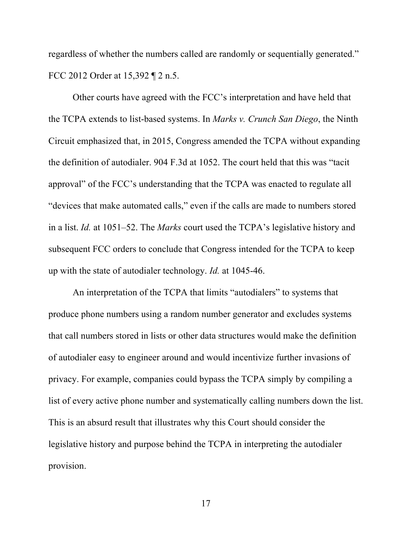regardless of whether the numbers called are randomly or sequentially generated." FCC 2012 Order at 15,392 ¶ 2 n.5.

Other courts have agreed with the FCC's interpretation and have held that the TCPA extends to list-based systems. In *Marks v. Crunch San Diego*, the Ninth Circuit emphasized that, in 2015, Congress amended the TCPA without expanding the definition of autodialer. 904 F.3d at 1052. The court held that this was "tacit approval" of the FCC's understanding that the TCPA was enacted to regulate all "devices that make automated calls," even if the calls are made to numbers stored in a list. *Id.* at 1051–52. The *Marks* court used the TCPA's legislative history and subsequent FCC orders to conclude that Congress intended for the TCPA to keep up with the state of autodialer technology. *Id.* at 1045-46.

An interpretation of the TCPA that limits "autodialers" to systems that produce phone numbers using a random number generator and excludes systems that call numbers stored in lists or other data structures would make the definition of autodialer easy to engineer around and would incentivize further invasions of privacy. For example, companies could bypass the TCPA simply by compiling a list of every active phone number and systematically calling numbers down the list. This is an absurd result that illustrates why this Court should consider the legislative history and purpose behind the TCPA in interpreting the autodialer provision.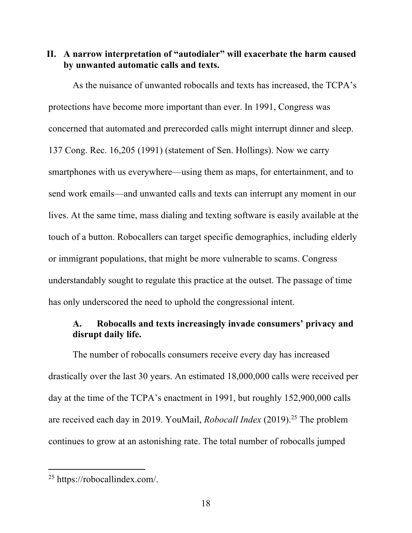**II. A narrow interpretation of "autodialer" will exacerbate the harm caused by unwanted automatic calls and texts.**

As the nuisance of unwanted robocalls and texts has increased, the TCPA's protections have become more important than ever. In 1991, Congress was concerned that automated and prerecorded calls might interrupt dinner and sleep. 137 Cong. Rec. 16,205 (1991) (statement of Sen. Hollings). Now we carry smartphones with us everywhere—using them as maps, for entertainment, and to send work emails—and unwanted calls and texts can interrupt any moment in our lives. At the same time, mass dialing and texting software is easily available at the touch of a button. Robocallers can target specific demographics, including elderly or immigrant populations, that might be more vulnerable to scams. Congress understandably sought to regulate this practice at the outset. The passage of time has only underscored the need to uphold the congressional intent.

# **A. Robocalls and texts increasingly invade consumers' privacy and disrupt daily life.**

The number of robocalls consumers receive every day has increased drastically over the last 30 years. An estimated 18,000,000 calls were received per day at the time of the TCPA's enactment in 1991, but roughly 152,900,000 calls are received each day in 2019. YouMail, *Robocall Index* (2019). <sup>25</sup> The problem continues to grow at an astonishing rate. The total number of robocalls jumped

l

<sup>25</sup> https://robocallindex.com/.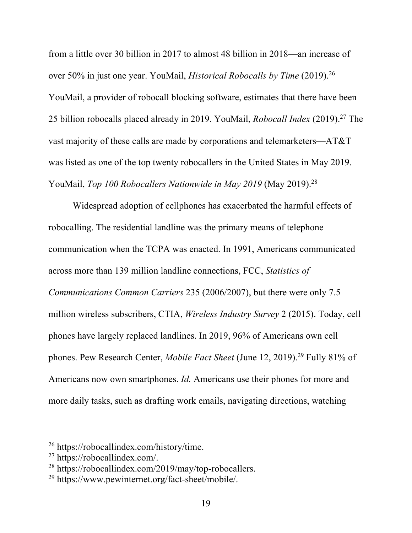from a little over 30 billion in 2017 to almost 48 billion in 2018—an increase of over 50% in just one year. YouMail, *Historical Robocalls by Time* (2019). 26 YouMail, a provider of robocall blocking software, estimates that there have been 25 billion robocalls placed already in 2019. YouMail, *Robocall Index* (2019). <sup>27</sup> The vast majority of these calls are made by corporations and telemarketers—AT&T was listed as one of the top twenty robocallers in the United States in May 2019. YouMail, *Top 100 Robocallers Nationwide in May 2019* (May 2019). 28

Widespread adoption of cellphones has exacerbated the harmful effects of robocalling. The residential landline was the primary means of telephone communication when the TCPA was enacted. In 1991, Americans communicated across more than 139 million landline connections, FCC, *Statistics of Communications Common Carriers* 235 (2006/2007), but there were only 7.5 million wireless subscribers, CTIA, *Wireless Industry Survey* 2 (2015). Today, cell phones have largely replaced landlines. In 2019, 96% of Americans own cell phones. Pew Research Center, *Mobile Fact Sheet* (June 12, 2019). <sup>29</sup> Fully 81% of Americans now own smartphones. *Id.* Americans use their phones for more and more daily tasks, such as drafting work emails, navigating directions, watching

<sup>26</sup> https://robocallindex.com/history/time.

<sup>27</sup> https://robocallindex.com/.

<sup>28</sup> https://robocallindex.com/2019/may/top-robocallers.

<sup>29</sup> https://www.pewinternet.org/fact-sheet/mobile/.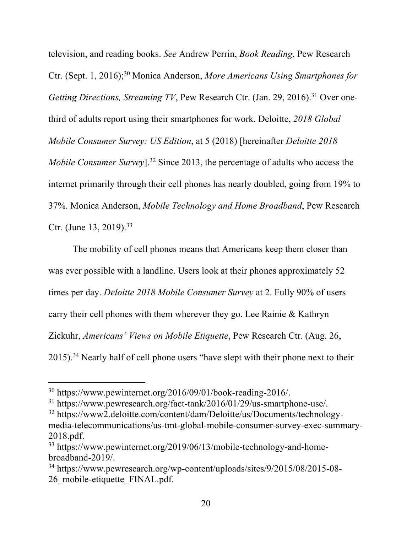television, and reading books. *See* Andrew Perrin, *Book Reading*, Pew Research Ctr. (Sept. 1, 2016); <sup>30</sup> Monica Anderson, *More Americans Using Smartphones for Getting Directions, Streaming TV*, Pew Research Ctr. (Jan. 29, 2016). <sup>31</sup> Over onethird of adults report using their smartphones for work. Deloitte, *2018 Global Mobile Consumer Survey: US Edition*, at 5 (2018) [hereinafter *Deloitte 2018 Mobile Consumer Survey*].<sup>32</sup> Since 2013, the percentage of adults who access the internet primarily through their cell phones has nearly doubled, going from 19% to 37%. Monica Anderson, *Mobile Technology and Home Broadband*, Pew Research Ctr. (June 13, 2019).<sup>33</sup>

The mobility of cell phones means that Americans keep them closer than was ever possible with a landline. Users look at their phones approximately 52 times per day. *Deloitte 2018 Mobile Consumer Survey* at 2. Fully 90% of users carry their cell phones with them wherever they go. Lee Rainie & Kathryn Zickuhr, *Americans' Views on Mobile Etiquette*, Pew Research Ctr. (Aug. 26, 2015).<sup>34</sup> Nearly half of cell phone users "have slept with their phone next to their

 $30$  https://www.pewinternet.org/2016/09/01/book-reading-2016/.

<sup>31</sup> https://www.pewresearch.org/fact-tank/2016/01/29/us-smartphone-use/.

<sup>32</sup> https://www2.deloitte.com/content/dam/Deloitte/us/Documents/technologymedia-telecommunications/us-tmt-global-mobile-consumer-survey-exec-summary-2018.pdf.

<sup>33</sup> https://www.pewinternet.org/2019/06/13/mobile-technology-and-homebroadband-2019/.

<sup>34</sup> https://www.pewresearch.org/wp-content/uploads/sites/9/2015/08/2015-08- 26 mobile-etiquette FINAL.pdf.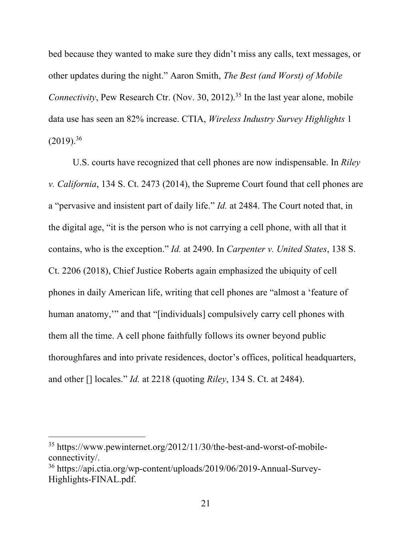bed because they wanted to make sure they didn't miss any calls, text messages, or other updates during the night." Aaron Smith, *The Best (and Worst) of Mobile Connectivity*, Pew Research Ctr. (Nov. 30, 2012). <sup>35</sup> In the last year alone, mobile data use has seen an 82% increase. CTIA, *Wireless Industry Survey Highlights* 1  $(2019).^{36}$ 

U.S. courts have recognized that cell phones are now indispensable. In *Riley v. California*, 134 S. Ct. 2473 (2014), the Supreme Court found that cell phones are a "pervasive and insistent part of daily life." *Id.* at 2484. The Court noted that, in the digital age, "it is the person who is not carrying a cell phone, with all that it contains, who is the exception." *Id.* at 2490. In *Carpenter v. United States*, 138 S. Ct. 2206 (2018), Chief Justice Roberts again emphasized the ubiquity of cell phones in daily American life, writing that cell phones are "almost a 'feature of human anatomy," and that "[individuals] compulsively carry cell phones with them all the time. A cell phone faithfully follows its owner beyond public thoroughfares and into private residences, doctor's offices, political headquarters, and other [] locales." *Id.* at 2218 (quoting *Riley*, 134 S. Ct. at 2484).

<sup>35</sup> https://www.pewinternet.org/2012/11/30/the-best-and-worst-of-mobileconnectivity/.

<sup>36</sup> https://api.ctia.org/wp-content/uploads/2019/06/2019-Annual-Survey-Highlights-FINAL.pdf.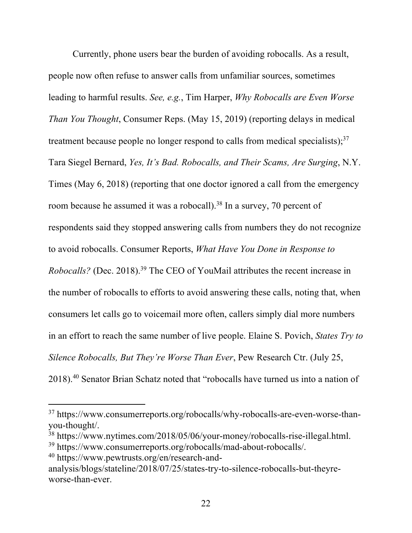Currently, phone users bear the burden of avoiding robocalls. As a result, people now often refuse to answer calls from unfamiliar sources, sometimes leading to harmful results. *See, e.g.*, Tim Harper, *Why Robocalls are Even Worse Than You Thought*, Consumer Reps. (May 15, 2019) (reporting delays in medical treatment because people no longer respond to calls from medical specialists);<sup>37</sup> Tara Siegel Bernard, *Yes, It's Bad. Robocalls, and Their Scams, Are Surging*, N.Y. Times (May 6, 2018) (reporting that one doctor ignored a call from the emergency room because he assumed it was a robocall).<sup>38</sup> In a survey, 70 percent of respondents said they stopped answering calls from numbers they do not recognize to avoid robocalls. Consumer Reports, *What Have You Done in Response to Robocalls?* (Dec. 2018). <sup>39</sup> The CEO of YouMail attributes the recent increase in the number of robocalls to efforts to avoid answering these calls, noting that, when consumers let calls go to voicemail more often, callers simply dial more numbers in an effort to reach the same number of live people. Elaine S. Povich, *States Try to Silence Robocalls, But They're Worse Than Ever*, Pew Research Ctr. (July 25, 2018). <sup>40</sup> Senator Brian Schatz noted that "robocalls have turned us into a nation of

<sup>37</sup> https://www.consumerreports.org/robocalls/why-robocalls-are-even-worse-thanyou-thought/.

<sup>38</sup> https://www.nytimes.com/2018/05/06/your-money/robocalls-rise-illegal.html.

<sup>39</sup> https://www.consumerreports.org/robocalls/mad-about-robocalls/.

<sup>40</sup> https://www.pewtrusts.org/en/research-and-

analysis/blogs/stateline/2018/07/25/states-try-to-silence-robocalls-but-theyreworse-than-ever.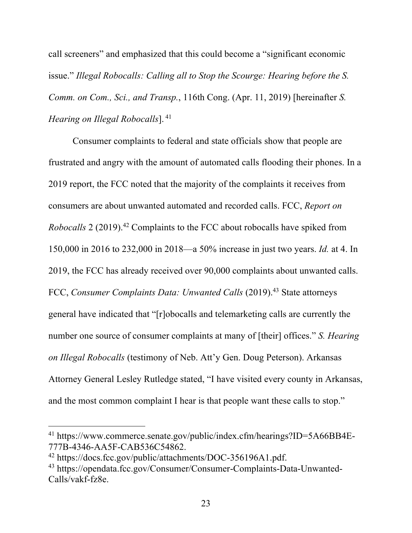call screeners" and emphasized that this could become a "significant economic issue." *Illegal Robocalls: Calling all to Stop the Scourge: Hearing before the S. Comm. on Com., Sci., and Transp.*, 116th Cong. (Apr. 11, 2019) [hereinafter *S. Hearing on Illegal Robocalls*]. <sup>41</sup>

Consumer complaints to federal and state officials show that people are frustrated and angry with the amount of automated calls flooding their phones. In a 2019 report, the FCC noted that the majority of the complaints it receives from consumers are about unwanted automated and recorded calls. FCC, *Report on Robocalls* 2 (2019). <sup>42</sup> Complaints to the FCC about robocalls have spiked from 150,000 in 2016 to 232,000 in 2018—a 50% increase in just two years. *Id.* at 4. In 2019, the FCC has already received over 90,000 complaints about unwanted calls. FCC, *Consumer Complaints Data: Unwanted Calls* (2019). <sup>43</sup> State attorneys general have indicated that "[r]obocalls and telemarketing calls are currently the number one source of consumer complaints at many of [their] offices." *S. Hearing on Illegal Robocalls* (testimony of Neb. Att'y Gen. Doug Peterson). Arkansas Attorney General Lesley Rutledge stated, "I have visited every county in Arkansas, and the most common complaint I hear is that people want these calls to stop."

<sup>41</sup> https://www.commerce.senate.gov/public/index.cfm/hearings?ID=5A66BB4E-777B-4346-AA5F-CAB536C54862.

<sup>42</sup> https://docs.fcc.gov/public/attachments/DOC-356196A1.pdf.

<sup>43</sup> https://opendata.fcc.gov/Consumer/Consumer-Complaints-Data-Unwanted-Calls/vakf-fz8e.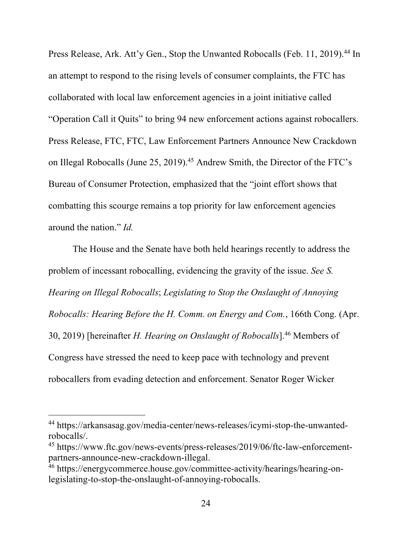Press Release, Ark. Att'y Gen., Stop the Unwanted Robocalls (Feb. 11, 2019).<sup>44</sup> In an attempt to respond to the rising levels of consumer complaints, the FTC has collaborated with local law enforcement agencies in a joint initiative called "Operation Call it Quits" to bring 94 new enforcement actions against robocallers. Press Release, FTC, FTC, Law Enforcement Partners Announce New Crackdown on Illegal Robocalls (June 25, 2019). <sup>45</sup> Andrew Smith, the Director of the FTC's Bureau of Consumer Protection, emphasized that the "joint effort shows that combatting this scourge remains a top priority for law enforcement agencies around the nation." *Id.*

The House and the Senate have both held hearings recently to address the problem of incessant robocalling, evidencing the gravity of the issue. *See S. Hearing on Illegal Robocalls*; *Legislating to Stop the Onslaught of Annoying Robocalls: Hearing Before the H. Comm. on Energy and Com.*, 166th Cong. (Apr. 30, 2019) [hereinafter *H. Hearing on Onslaught of Robocalls*].46 Members of Congress have stressed the need to keep pace with technology and prevent robocallers from evading detection and enforcement. Senator Roger Wicker

l

<sup>44</sup> https://arkansasag.gov/media-center/news-releases/icymi-stop-the-unwantedrobocalls/.

<sup>45</sup> https://www.ftc.gov/news-events/press-releases/2019/06/ftc-law-enforcementpartners-announce-new-crackdown-illegal.

<sup>46</sup> https://energycommerce.house.gov/committee-activity/hearings/hearing-onlegislating-to-stop-the-onslaught-of-annoying-robocalls.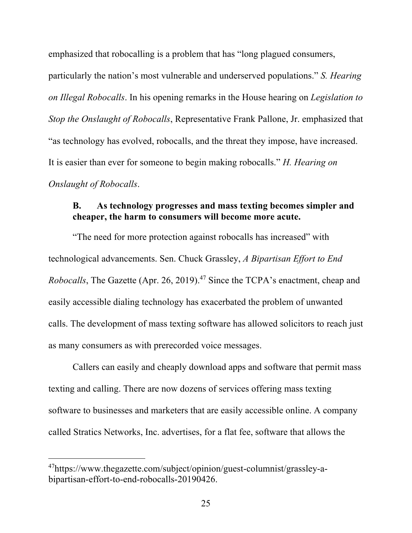emphasized that robocalling is a problem that has "long plagued consumers,

particularly the nation's most vulnerable and underserved populations." *S. Hearing on Illegal Robocalls*. In his opening remarks in the House hearing on *Legislation to Stop the Onslaught of Robocalls*, Representative Frank Pallone, Jr. emphasized that "as technology has evolved, robocalls, and the threat they impose, have increased. It is easier than ever for someone to begin making robocalls." *H. Hearing on Onslaught of Robocalls*.

# **B. As technology progresses and mass texting becomes simpler and cheaper, the harm to consumers will become more acute.**

"The need for more protection against robocalls has increased" with technological advancements. Sen. Chuck Grassley, *A Bipartisan Effort to End Robocalls*, The Gazette (Apr. 26, 2019). <sup>47</sup> Since the TCPA's enactment, cheap and easily accessible dialing technology has exacerbated the problem of unwanted calls. The development of mass texting software has allowed solicitors to reach just as many consumers as with prerecorded voice messages.

Callers can easily and cheaply download apps and software that permit mass texting and calling. There are now dozens of services offering mass texting software to businesses and marketers that are easily accessible online. A company called Stratics Networks, Inc. advertises, for a flat fee, software that allows the

<sup>47</sup>https://www.thegazette.com/subject/opinion/guest-columnist/grassley-abipartisan-effort-to-end-robocalls-20190426.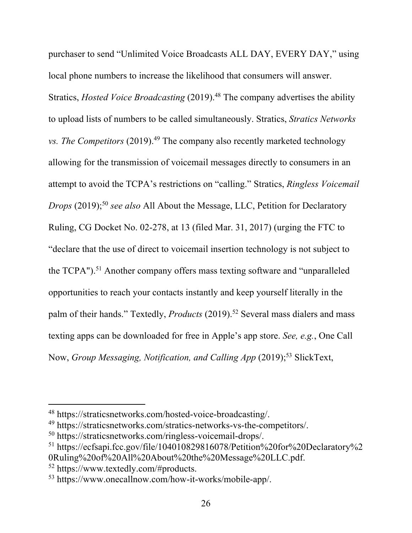purchaser to send "Unlimited Voice Broadcasts ALL DAY, EVERY DAY," using local phone numbers to increase the likelihood that consumers will answer. Stratics, *Hosted Voice Broadcasting* (2019). <sup>48</sup> The company advertises the ability to upload lists of numbers to be called simultaneously. Stratics, *Stratics Networks vs. The Competitors* (2019). <sup>49</sup> The company also recently marketed technology allowing for the transmission of voicemail messages directly to consumers in an attempt to avoid the TCPA's restrictions on "calling." Stratics, *Ringless Voicemail Drops* (2019); <sup>50</sup> *see also* All About the Message, LLC, Petition for Declaratory Ruling, CG Docket No. 02-278, at 13 (filed Mar. 31, 2017) (urging the FTC to "declare that the use of direct to voicemail insertion technology is not subject to the TCPA").<sup>51</sup> Another company offers mass texting software and "unparalleled opportunities to reach your contacts instantly and keep yourself literally in the palm of their hands." Textedly, *Products* (2019). <sup>52</sup> Several mass dialers and mass texting apps can be downloaded for free in Apple's app store. *See, e.g.*, One Call Now, *Group Messaging, Notification, and Calling App* (2019); <sup>53</sup> SlickText,

<sup>48</sup> https://straticsnetworks.com/hosted-voice-broadcasting/.

<sup>49</sup> https://straticsnetworks.com/stratics-networks-vs-the-competitors/.

<sup>50</sup> https://straticsnetworks.com/ringless-voicemail-drops/.

<sup>51</sup> https://ecfsapi.fcc.gov/file/104010829816078/Petition%20for%20Declaratory%2 0Ruling%20of%20All%20About%20the%20Message%20LLC.pdf.

<sup>52</sup> https://www.textedly.com/#products.

<sup>53</sup> https://www.onecallnow.com/how-it-works/mobile-app/.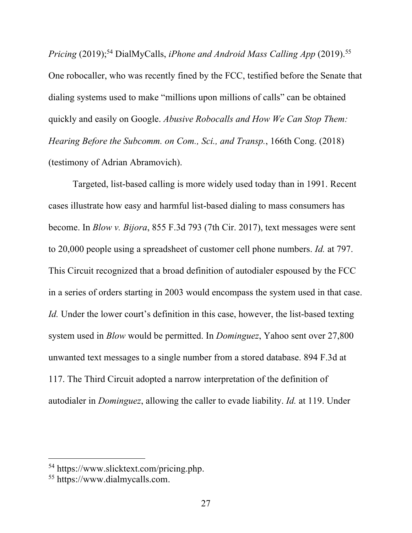Pricing (2019);<sup>54</sup> DialMyCalls, *iPhone and Android Mass Calling App* (2019).<sup>55</sup> One robocaller, who was recently fined by the FCC, testified before the Senate that dialing systems used to make "millions upon millions of calls" can be obtained quickly and easily on Google. *Abusive Robocalls and How We Can Stop Them: Hearing Before the Subcomm. on Com., Sci., and Transp.*, 166th Cong. (2018) (testimony of Adrian Abramovich).

Targeted, list-based calling is more widely used today than in 1991. Recent cases illustrate how easy and harmful list-based dialing to mass consumers has become. In *Blow v. Bijora*, 855 F.3d 793 (7th Cir. 2017), text messages were sent to 20,000 people using a spreadsheet of customer cell phone numbers. *Id.* at 797. This Circuit recognized that a broad definition of autodialer espoused by the FCC in a series of orders starting in 2003 would encompass the system used in that case. *Id.* Under the lower court's definition in this case, however, the list-based texting system used in *Blow* would be permitted. In *Dominguez*, Yahoo sent over 27,800 unwanted text messages to a single number from a stored database. 894 F.3d at 117. The Third Circuit adopted a narrow interpretation of the definition of autodialer in *Dominguez*, allowing the caller to evade liability. *Id.* at 119. Under

<sup>54</sup> https://www.slicktext.com/pricing.php.

<sup>55</sup> https://www.dialmycalls.com.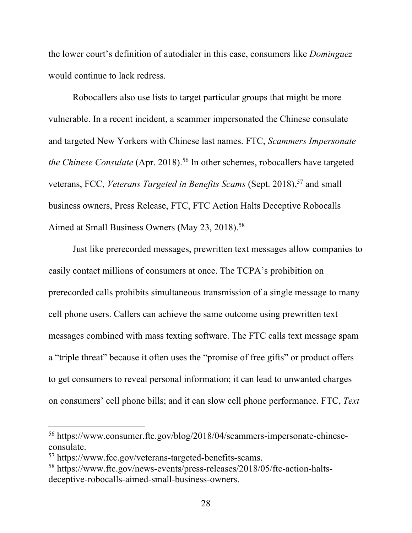the lower court's definition of autodialer in this case, consumers like *Dominguez*  would continue to lack redress.

Robocallers also use lists to target particular groups that might be more vulnerable. In a recent incident, a scammer impersonated the Chinese consulate and targeted New Yorkers with Chinese last names. FTC, *Scammers Impersonate the Chinese Consulate* (Apr. 2018). <sup>56</sup> In other schemes, robocallers have targeted veterans, FCC, *Veterans Targeted in Benefits Scams* (Sept. 2018), <sup>57</sup> and small business owners, Press Release, FTC, FTC Action Halts Deceptive Robocalls Aimed at Small Business Owners (May 23, 2018).<sup>58</sup>

Just like prerecorded messages, prewritten text messages allow companies to easily contact millions of consumers at once. The TCPA's prohibition on prerecorded calls prohibits simultaneous transmission of a single message to many cell phone users. Callers can achieve the same outcome using prewritten text messages combined with mass texting software. The FTC calls text message spam a "triple threat" because it often uses the "promise of free gifts" or product offers to get consumers to reveal personal information; it can lead to unwanted charges on consumers' cell phone bills; and it can slow cell phone performance. FTC, *Text* 

<sup>56</sup> https://www.consumer.ftc.gov/blog/2018/04/scammers-impersonate-chineseconsulate.

<sup>57</sup> https://www.fcc.gov/veterans-targeted-benefits-scams.

<sup>58</sup> https://www.ftc.gov/news-events/press-releases/2018/05/ftc-action-haltsdeceptive-robocalls-aimed-small-business-owners.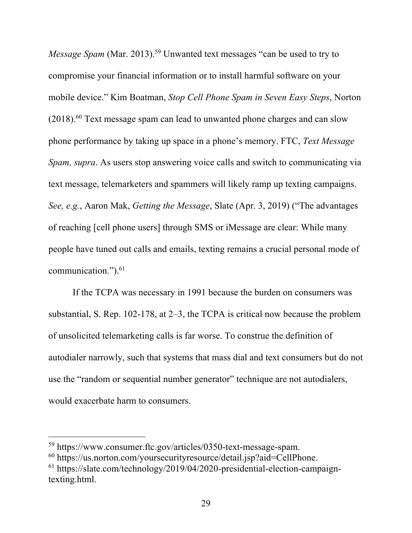*Message Spam* (Mar. 2013). <sup>59</sup> Unwanted text messages "can be used to try to compromise your financial information or to install harmful software on your mobile device." Kim Boatman, *Stop Cell Phone Spam in Seven Easy Steps*, Norton  $(2018).<sup>60</sup>$  Text message spam can lead to unwanted phone charges and can slow phone performance by taking up space in a phone's memory. FTC, *Text Message Spam, supra*. As users stop answering voice calls and switch to communicating via text message, telemarketers and spammers will likely ramp up texting campaigns. *See, e.g.*, Aaron Mak, *Getting the Message*, Slate (Apr. 3, 2019) ("The advantages of reaching [cell phone users] through SMS or iMessage are clear: While many people have tuned out calls and emails, texting remains a crucial personal mode of communication.").61

If the TCPA was necessary in 1991 because the burden on consumers was substantial, S. Rep. 102-178, at 2–3, the TCPA is critical now because the problem of unsolicited telemarketing calls is far worse. To construe the definition of autodialer narrowly, such that systems that mass dial and text consumers but do not use the "random or sequential number generator" technique are not autodialers, would exacerbate harm to consumers.

<sup>59</sup> https://www.consumer.ftc.gov/articles/0350-text-message-spam.

<sup>60</sup> https://us.norton.com/yoursecurityresource/detail.jsp?aid=CellPhone.

<sup>61</sup> https://slate.com/technology/2019/04/2020-presidential-election-campaigntexting.html.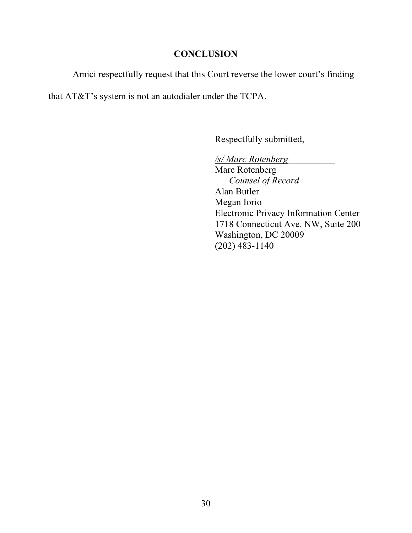# **CONCLUSION**

Amici respectfully request that this Court reverse the lower court's finding

that AT&T's system is not an autodialer under the TCPA.

Respectfully submitted,

*/s/ Marc Rotenberg*\_\_\_\_\_\_\_\_\_\_

Marc Rotenberg *Counsel of Record* Alan Butler Megan Iorio Electronic Privacy Information Center 1718 Connecticut Ave. NW, Suite 200 Washington, DC 20009 (202) 483-1140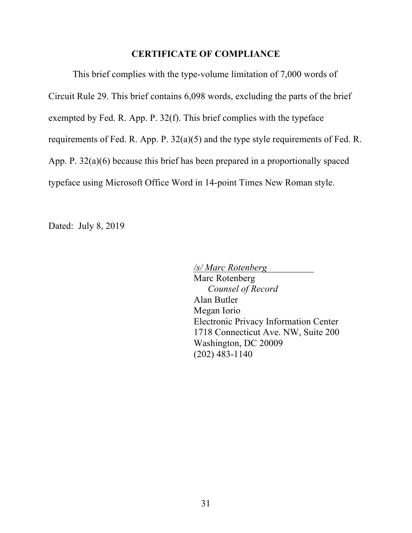### **CERTIFICATE OF COMPLIANCE**

This brief complies with the type-volume limitation of 7,000 words of Circuit Rule 29. This brief contains 6,098 words, excluding the parts of the brief exempted by Fed. R. App. P. 32(f). This brief complies with the typeface requirements of Fed. R. App. P. 32(a)(5) and the type style requirements of Fed. R. App. P. 32(a)(6) because this brief has been prepared in a proportionally spaced typeface using Microsoft Office Word in 14-point Times New Roman style.

Dated: July 8, 2019

*/s/ Marc Rotenberg*\_\_\_\_\_\_\_\_\_\_ Marc Rotenberg *Counsel of Record* Alan Butler Megan Iorio Electronic Privacy Information Center 1718 Connecticut Ave. NW, Suite 200 Washington, DC 20009 (202) 483-1140